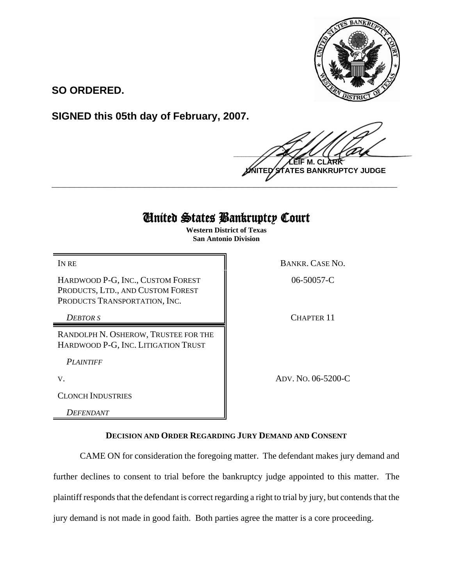

**SO ORDERED.**

**SIGNED this 05th day of February, 2007.**

 $\frac{1}{2}$ **M. NTES BANKRUPTCY JUDGE** 

## United States Bankruptcy Court

**\_\_\_\_\_\_\_\_\_\_\_\_\_\_\_\_\_\_\_\_\_\_\_\_\_\_\_\_\_\_\_\_\_\_\_\_\_\_\_\_\_\_\_\_\_\_\_\_\_\_\_\_\_\_\_\_\_\_\_\_**

**Western District of Texas San Antonio Division**

HARDWOOD P-G, INC., CUSTOM FOREST PRODUCTS, LTD., AND CUSTOM FOREST PRODUCTS TRANSPORTATION, INC.

RANDOLPH N. OSHEROW, TRUSTEE FOR THE HARDWOOD P-G, INC. LITIGATION TRUST

*PLAINTIFF* 

CLONCH INDUSTRIES

*DEFENDANT* 

IN RE BANKR. CASE NO.

06-50057-C

*DEBTOR S* CHAPTER 11

V. ADV. NO. 06-5200-C

## **DECISION AND ORDER REGARDING JURY DEMAND AND CONSENT**

CAME ON for consideration the foregoing matter. The defendant makes jury demand and further declines to consent to trial before the bankruptcy judge appointed to this matter. The plaintiff responds that the defendant is correct regarding a right to trial by jury, but contends that the jury demand is not made in good faith. Both parties agree the matter is a core proceeding.